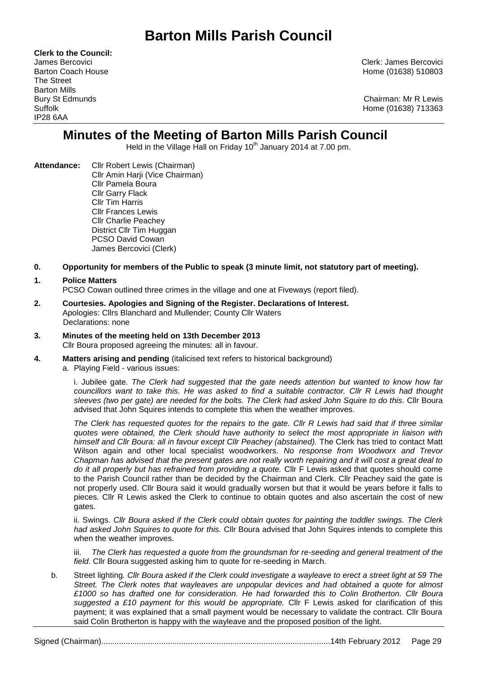# **Barton Mills Parish Council**

**Clerk to the Council:** The Street Barton Mills IP28 6AA

James Bercovici Clerk: James Bercovici Barton Coach House **Home (01638)** 510803

Bury St Edmunds Chairman: Mr R Lewis Suffolk Home (01638) 713363

## **Minutes of the Meeting of Barton Mills Parish Council**

Held in the Village Hall on Friday 10<sup>th</sup> January 2014 at 7.00 pm.

- **Attendance:** Cllr Robert Lewis (Chairman) Cllr Amin Harji (Vice Chairman) Cllr Pamela Boura Cllr Garry Flack Cllr Tim Harris Cllr Frances Lewis Cllr Charlie Peachey District Cllr Tim Huggan PCSO David Cowan James Bercovici (Clerk)
- **0. Opportunity for members of the Public to speak (3 minute limit, not statutory part of meeting).**

## **1. Police Matters**

PCSO Cowan outlined three crimes in the village and one at Fiveways (report filed).

- **2. Courtesies. Apologies and Signing of the Register. Declarations of Interest.** Apologies: Cllrs Blanchard and Mullender; County Cllr Waters Declarations: none
- **3. Minutes of the meeting held on 13th December 2013** Cllr Boura proposed agreeing the minutes: all in favour.
- **4. Matters arising and pending** (italicised text refers to historical background)
	- a. Playing Field various issues:

i. Jubilee gate. *The Clerk had suggested that the gate needs attention but wanted to know how far councillors want to take this. He was asked to find a suitable contractor. Cllr R Lewis had thought sleeves (two per gate) are needed for the bolts. The Clerk had asked John Squire to do this.* Cllr Boura advised that John Squires intends to complete this when the weather improves.

*The Clerk has requested quotes for the repairs to the gate. Cllr R Lewis had said that if three similar quotes were obtained, the Clerk should have authority to select the most appropriate in liaison with himself and Cllr Boura: all in favour except Cllr Peachey (abstained).* The Clerk has tried to contact Matt Wilson again and other local specialist woodworkers. *No response from Woodworx and Trevor Chapman has advised that the present gates are not really worth repairing and it will cost a great deal to do it all properly but has refrained from providing a quote.* Cllr F Lewis asked that quotes should come to the Parish Council rather than be decided by the Chairman and Clerk. Cllr Peachey said the gate is not properly used. Cllr Boura said it would gradually worsen but that it would be years before it falls to pieces. Cllr R Lewis asked the Clerk to continue to obtain quotes and also ascertain the cost of new gates.

ii. Swings. *Cllr Boura asked if the Clerk could obtain quotes for painting the toddler swings. The Clerk had asked John Squires to quote for this.* Cllr Boura advised that John Squires intends to complete this when the weather improves.

The Clerk has requested a quote from the groundsman for re-seeding and general treatment of the *field*. Cllr Boura suggested asking him to quote for re-seeding in March.

b. Street lighting*. Cllr Boura asked if the Clerk could investigate a wayleave to erect a street light at 59 The Street. The Clerk notes that wayleaves are unpopular devices and had obtained a quote for almost £1000 so has drafted one for consideration. He had forwarded this to Colin Brotherton. Cllr Boura suggested a £10 payment for this would be appropriate.* Cllr F Lewis asked for clarification of this payment; it was explained that a small payment would be necessary to validate the contract. Cllr Boura said Colin Brotherton is happy with the wayleave and the proposed position of the light.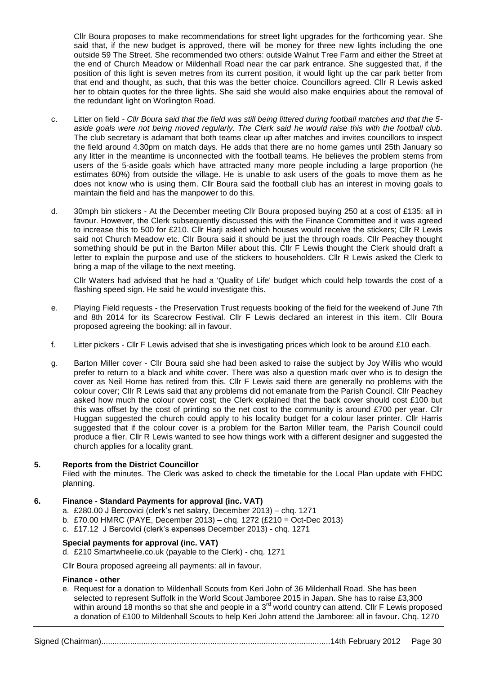Cllr Boura proposes to make recommendations for street light upgrades for the forthcoming year. She said that, if the new budget is approved, there will be money for three new lights including the one outside 59 The Street. She recommended two others: outside Walnut Tree Farm and either the Street at the end of Church Meadow or Mildenhall Road near the car park entrance. She suggested that, if the position of this light is seven metres from its current position, it would light up the car park better from that end and thought, as such, that this was the better choice. Councillors agreed. Cllr R Lewis asked her to obtain quotes for the three lights. She said she would also make enquiries about the removal of the redundant light on Worlington Road.

- c. Litter on field *- Cllr Boura said that the field was still being littered during football matches and that the 5 aside goals were not being moved regularly. The Clerk said he would raise this with the football club.* The club secretary is adamant that both teams clear up after matches and invites councillors to inspect the field around 4.30pm on match days. He adds that there are no home games until 25th January so any litter in the meantime is unconnected with the football teams. He believes the problem stems from users of the 5-aside goals which have attracted many more people including a large proportion (he estimates 60%) from outside the village. He is unable to ask users of the goals to move them as he does not know who is using them. Cllr Boura said the football club has an interest in moving goals to maintain the field and has the manpower to do this.
- d. 30mph bin stickers At the December meeting Cllr Boura proposed buying 250 at a cost of £135: all in favour. However, the Clerk subsequently discussed this with the Finance Committee and it was agreed to increase this to 500 for £210. Cllr Harji asked which houses would receive the stickers; Cllr R Lewis said not Church Meadow etc. Cllr Boura said it should be just the through roads. Cllr Peachey thought something should be put in the Barton Miller about this. Cllr F Lewis thought the Clerk should draft a letter to explain the purpose and use of the stickers to householders. Cllr R Lewis asked the Clerk to bring a map of the village to the next meeting.

Cllr Waters had advised that he had a 'Quality of Life' budget which could help towards the cost of a flashing speed sign. He said he would investigate this.

- e. Playing Field requests the Preservation Trust requests booking of the field for the weekend of June 7th and 8th 2014 for its Scarecrow Festival. Cllr F Lewis declared an interest in this item. Cllr Boura proposed agreeing the booking: all in favour.
- f. Litter pickers Cllr F Lewis advised that she is investigating prices which look to be around £10 each.
- g. Barton Miller cover Cllr Boura said she had been asked to raise the subject by Joy Willis who would prefer to return to a black and white cover. There was also a question mark over who is to design the cover as Neil Horne has retired from this. Cllr F Lewis said there are generally no problems with the colour cover; Cllr R Lewis said that any problems did not emanate from the Parish Council. Cllr Peachey asked how much the colour cover cost; the Clerk explained that the back cover should cost £100 but this was offset by the cost of printing so the net cost to the community is around £700 per year. Cllr Huggan suggested the church could apply to his locality budget for a colour laser printer. Cllr Harris suggested that if the colour cover is a problem for the Barton Miller team, the Parish Council could produce a flier. Cllr R Lewis wanted to see how things work with a different designer and suggested the church applies for a locality grant.

### **5. Reports from the District Councillor**

Filed with the minutes. The Clerk was asked to check the timetable for the Local Plan update with FHDC planning.

### **6. Finance - Standard Payments for approval (inc. VAT)**

- a. £280.00 J Bercovici (clerk's net salary, December 2013) chq. 1271
- b. £70.00 HMRC (PAYE, December 2013) chq. 1272 (£210 = Oct-Dec 2013)
- c. £17.12 J Bercovici (clerk's expenses December 2013) chq. 1271

### **Special payments for approval (inc. VAT)**

d. £210 Smartwheelie.co.uk (payable to the Clerk) - chq. 1271

Cllr Boura proposed agreeing all payments: all in favour.

### **Finance - other**

e. Request for a donation to Mildenhall Scouts from Keri John of 36 Mildenhall Road. She has been selected to represent Suffolk in the World Scout Jamboree 2015 in Japan. She has to raise £3,300 within around 18 months so that she and people in a 3<sup>rd</sup> world country can attend. Cllr F Lewis proposed a donation of £100 to Mildenhall Scouts to help Keri John attend the Jamboree: all in favour. Chq. 1270

Signed (Chairman).......................................................................................................14th February 2012 Page 30